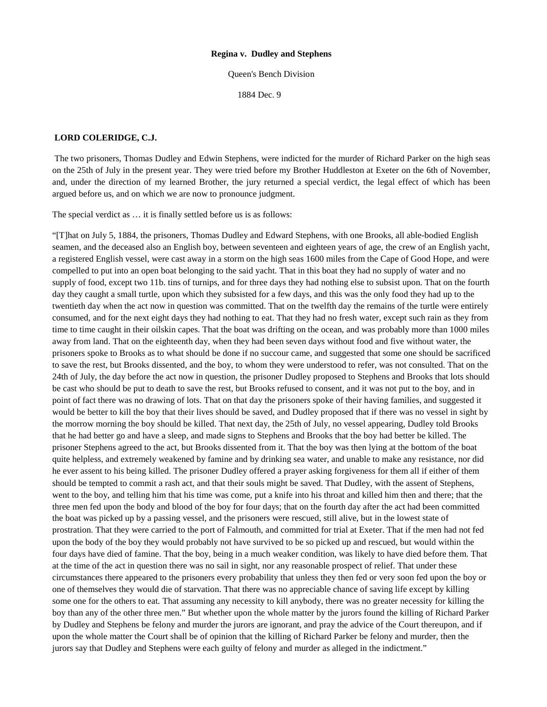## **Regina v. Dudley and Stephens**

Queen's Bench Division

1884 Dec. 9

## **LORD COLERIDGE, C.J.**

The two prisoners, Thomas Dudley and Edwin Stephens, were indicted for the murder of Richard Parker on the high seas on the 25th of July in the present year. They were tried before my Brother Huddleston at Exeter on the 6th of November, and, under the direction of my learned Brother, the jury returned a special verdict, the legal effect of which has been argued before us, and on which we are now to pronounce judgment.

The special verdict as … it is finally settled before us is as follows:

"[T]hat on July 5, 1884, the prisoners, Thomas Dudley and Edward Stephens, with one Brooks, all able-bodied English seamen, and the deceased also an English boy, between seventeen and eighteen years of age, the crew of an English yacht, a registered English vessel, were cast away in a storm on the high seas 1600 miles from the Cape of Good Hope, and were compelled to put into an open boat belonging to the said yacht. That in this boat they had no supply of water and no supply of food, except two 11b. tins of turnips, and for three days they had nothing else to subsist upon. That on the fourth day they caught a small turtle, upon which they subsisted for a few days, and this was the only food they had up to the twentieth day when the act now in question was committed. That on the twelfth day the remains of the turtle were entirely consumed, and for the next eight days they had nothing to eat. That they had no fresh water, except such rain as they from time to time caught in their oilskin capes. That the boat was drifting on the ocean, and was probably more than 1000 miles away from land. That on the eighteenth day, when they had been seven days without food and five without water, the prisoners spoke to Brooks as to what should be done if no succour came, and suggested that some one should be sacrificed to save the rest, but Brooks dissented, and the boy, to whom they were understood to refer, was not consulted. That on the 24th of July, the day before the act now in question, the prisoner Dudley proposed to Stephens and Brooks that lots should be cast who should be put to death to save the rest, but Brooks refused to consent, and it was not put to the boy, and in point of fact there was no drawing of lots. That on that day the prisoners spoke of their having families, and suggested it would be better to kill the boy that their lives should be saved, and Dudley proposed that if there was no vessel in sight by the morrow morning the boy should be killed. That next day, the 25th of July, no vessel appearing, Dudley told Brooks that he had better go and have a sleep, and made signs to Stephens and Brooks that the boy had better be killed. The prisoner Stephens agreed to the act, but Brooks dissented from it. That the boy was then lying at the bottom of the boat quite helpless, and extremely weakened by famine and by drinking sea water, and unable to make any resistance, nor did he ever assent to his being killed. The prisoner Dudley offered a prayer asking forgiveness for them all if either of them should be tempted to commit a rash act, and that their souls might be saved. That Dudley, with the assent of Stephens, went to the boy, and telling him that his time was come, put a knife into his throat and killed him then and there; that the three men fed upon the body and blood of the boy for four days; that on the fourth day after the act had been committed the boat was picked up by a passing vessel, and the prisoners were rescued, still alive, but in the lowest state of prostration. That they were carried to the port of Falmouth, and committed for trial at Exeter. That if the men had not fed upon the body of the boy they would probably not have survived to be so picked up and rescued, but would within the four days have died of famine. That the boy, being in a much weaker condition, was likely to have died before them. That at the time of the act in question there was no sail in sight, nor any reasonable prospect of relief. That under these circumstances there appeared to the prisoners every probability that unless they then fed or very soon fed upon the boy or one of themselves they would die of starvation. That there was no appreciable chance of saving life except by killing some one for the others to eat. That assuming any necessity to kill anybody, there was no greater necessity for killing the boy than any of the other three men." But whether upon the whole matter by the jurors found the killing of Richard Parker by Dudley and Stephens be felony and murder the jurors are ignorant, and pray the advice of the Court thereupon, and if upon the whole matter the Court shall be of opinion that the killing of Richard Parker be felony and murder, then the jurors say that Dudley and Stephens were each guilty of felony and murder as alleged in the indictment."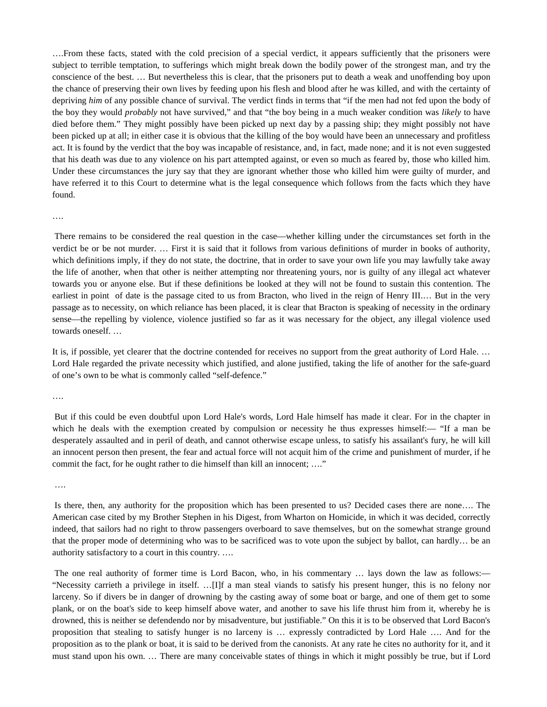….From these facts, stated with the cold precision of a special verdict, it appears sufficiently that the prisoners were subject to terrible temptation, to sufferings which might break down the bodily power of the strongest man, and try the conscience of the best. … But nevertheless this is clear, that the prisoners put to death a weak and unoffending boy upon the chance of preserving their own lives by feeding upon his flesh and blood after he was killed, and with the certainty of depriving *him* of any possible chance of survival. The verdict finds in terms that "if the men had not fed upon the body of the boy they would *probably* not have survived," and that "the boy being in a much weaker condition was *likely* to have died before them." They might possibly have been picked up next day by a passing ship; they might possibly not have been picked up at all; in either case it is obvious that the killing of the boy would have been an unnecessary and profitless act. It is found by the verdict that the boy was incapable of resistance, and, in fact, made none; and it is not even suggested that his death was due to any violence on his part attempted against, or even so much as feared by, those who killed him. Under these circumstances the jury say that they are ignorant whether those who killed him were guilty of murder, and have referred it to this Court to determine what is the legal consequence which follows from the facts which they have found.

## ….

There remains to be considered the real question in the case—whether killing under the circumstances set forth in the verdict be or be not murder. … First it is said that it follows from various definitions of murder in books of authority, which definitions imply, if they do not state, the doctrine, that in order to save your own life you may lawfully take away the life of another, when that other is neither attempting nor threatening yours, nor is guilty of any illegal act whatever towards you or anyone else. But if these definitions be looked at they will not be found to sustain this contention. The earliest in point of date is the passage cited to us from Bracton, who lived in the reign of Henry III.… But in the very passage as to necessity, on which reliance has been placed, it is clear that Bracton is speaking of necessity in the ordinary sense—the repelling by violence, violence justified so far as it was necessary for the object, any illegal violence used towards oneself. …

It is, if possible, yet clearer that the doctrine contended for receives no support from the great authority of Lord Hale. … Lord Hale regarded the private necessity which justified, and alone justified, taking the life of another for the safe-guard of one's own to be what is commonly called "self-defence."

….

But if this could be even doubtful upon Lord Hale's words, Lord Hale himself has made it clear. For in the chapter in which he deals with the exemption created by compulsion or necessity he thus expresses himself:— "If a man be desperately assaulted and in peril of death, and cannot otherwise escape unless, to satisfy his assailant's fury, he will kill an innocent person then present, the fear and actual force will not acquit him of the crime and punishment of murder, if he commit the fact, for he ought rather to die himself than kill an innocent; …."

….

Is there, then, any authority for the proposition which has been presented to us? Decided cases there are none…. The American case cited by my Brother Stephen in his Digest, from Wharton on Homicide, in which it was decided, correctly indeed, that sailors had no right to throw passengers overboard to save themselves, but on the somewhat strange ground that the proper mode of determining who was to be sacrificed was to vote upon the subject by ballot, can hardly… be an authority satisfactory to a court in this country. ….

The one real authority of former time is Lord Bacon, who, in his commentary ... lays down the law as follows:— "Necessity carrieth a privilege in itself. …[I]f a man steal viands to satisfy his present hunger, this is no felony nor larceny. So if divers be in danger of drowning by the casting away of some boat or barge, and one of them get to some plank, or on the boat's side to keep himself above water, and another to save his life thrust him from it, whereby he is drowned, this is neither se defendendo nor by misadventure, but justifiable." On this it is to be observed that Lord Bacon's proposition that stealing to satisfy hunger is no larceny is … expressly contradicted by Lord Hale …. And for the proposition as to the plank or boat, it is said to be derived from the canonists. At any rate he cites no authority for it, and it must stand upon his own. … There are many conceivable states of things in which it might possibly be true, but if Lord